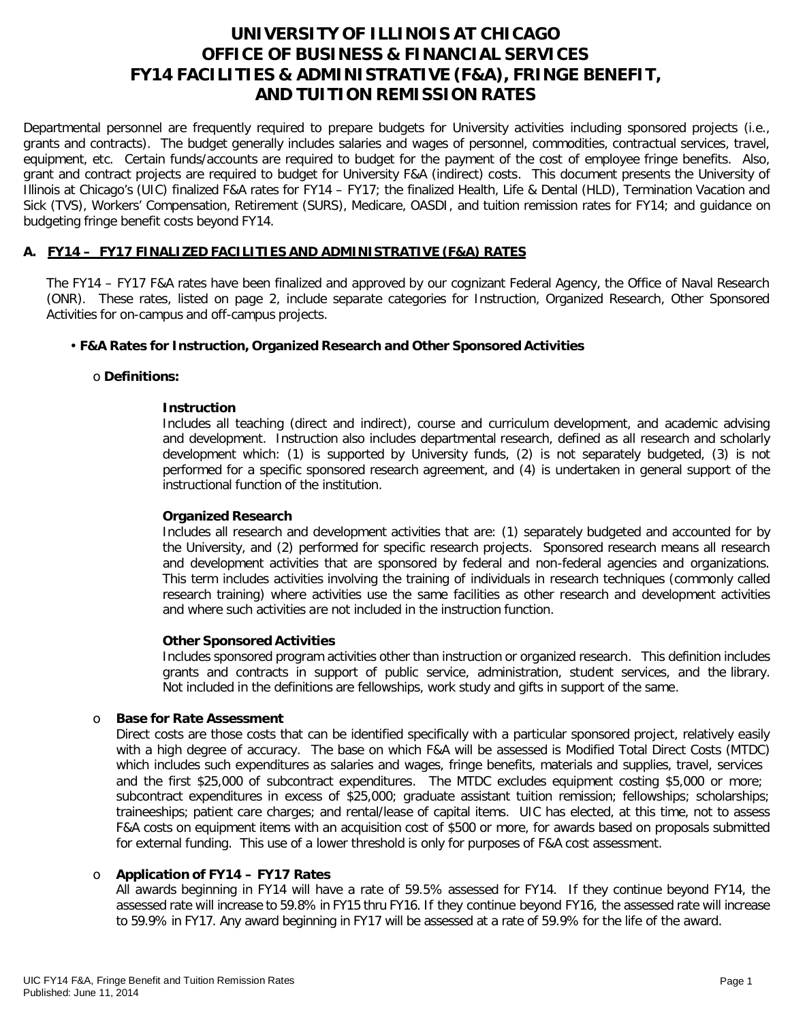# **UNIVERSITY OF ILLINOIS AT CHICAGO OFFICE OF BUSINESS & FINANCIAL SERVICES FY14 FACILITIES & ADMINISTRATIVE (F&A), FRINGE BENEFIT, AND TUITION REMISSION RATES**

Departmental personnel are frequently required to prepare budgets for University activities including sponsored projects (i.e., grants and contracts). The budget generally includes salaries and wages of personnel, commodities, contractual services, travel, equipment, etc. Certain funds/accounts are required to budget for the payment of the cost of employee fringe benefits. Also, grant and contract projects are required to budget for University F&A (indirect) costs. This document presents the University of Illinois at Chicago's (UIC) finalized F&A rates for FY14 – FY17; the finalized Health, Life & Dental (HLD), Termination Vacation and Sick (TVS), Workers' Compensation, Retirement (SURS), Medicare, OASDI, and tuition remission rates for FY14; and guidance on budgeting fringe benefit costs beyond FY14.

# **A. FY14 – FY17 FINALIZED FACILITIES AND ADMINISTRATIVE (F&A) RATES**

The FY14 – FY17 F&A rates have been finalized and approved by our cognizant Federal Agency, the Office of Naval Research (ONR). These rates, listed on page 2, include separate categories for Instruction, Organized Research, Other Sponsored Activities for on-campus and off-campus projects.

#### • **F&A Rates for Instruction, Organized Research and Other Sponsored Activities**

#### o **Definitions:**

#### **Instruction**

Includes all teaching (direct and indirect), course and curriculum development, and academic advising and development. Instruction also includes departmental research, defined as all research and scholarly development which: (1) is supported by University funds, (2) is not separately budgeted, (3) is not performed for a specific sponsored research agreement, and (4) is undertaken in general support of the instructional function of the institution.

#### **Organized Research**

Includes all research and development activities that are: (1) separately budgeted and accounted for by the University, and (2) performed for specific research projects. Sponsored research means all research and development activities that are sponsored by federal and non-federal agencies and organizations. This term includes activities involving the training of individuals in research techniques (commonly called research training) where activities use the same facilities as other research and development activities and where such activities are not included in the instruction function.

#### **Other Sponsored Activities**

Includes sponsored program activities other than instruction or organized research. This definition includes grants and contracts in support of public service, administration, student services, and the library. Not included in the definitions are fellowships, work study and gifts in support of the same.

#### o **Base for Rate Assessment**

Direct costs are those costs that can be identified specifically with a particular sponsored project, relatively easily with a high degree of accuracy. The base on which F&A will be assessed is Modified Total Direct Costs (MTDC) which includes such expenditures as salaries and wages, fringe benefits, materials and supplies, travel, services and the first \$25,000 of subcontract expenditures. The MTDC excludes equipment costing \$5,000 or more; subcontract expenditures in excess of \$25,000; graduate assistant tuition remission; fellowships; scholarships; traineeships; patient care charges; and rental/lease of capital items. UIC has elected, at this time, not to assess F&A costs on equipment items with an acquisition cost of \$500 or more, for awards based on proposals submitted for external funding. This use of a lower threshold is only for purposes of F&A cost assessment.

## o **Application of FY14 – FY17 Rates**

All awards beginning in FY14 will have a rate of 59.5% assessed for FY14. If they continue beyond FY14, the assessed rate will increase to 59.8% in FY15 thru FY16. If they continue beyond FY16, the assessed rate will increase to 59.9% in FY17. Any award beginning in FY17 will be assessed at a rate of 59.9% for the life of the award.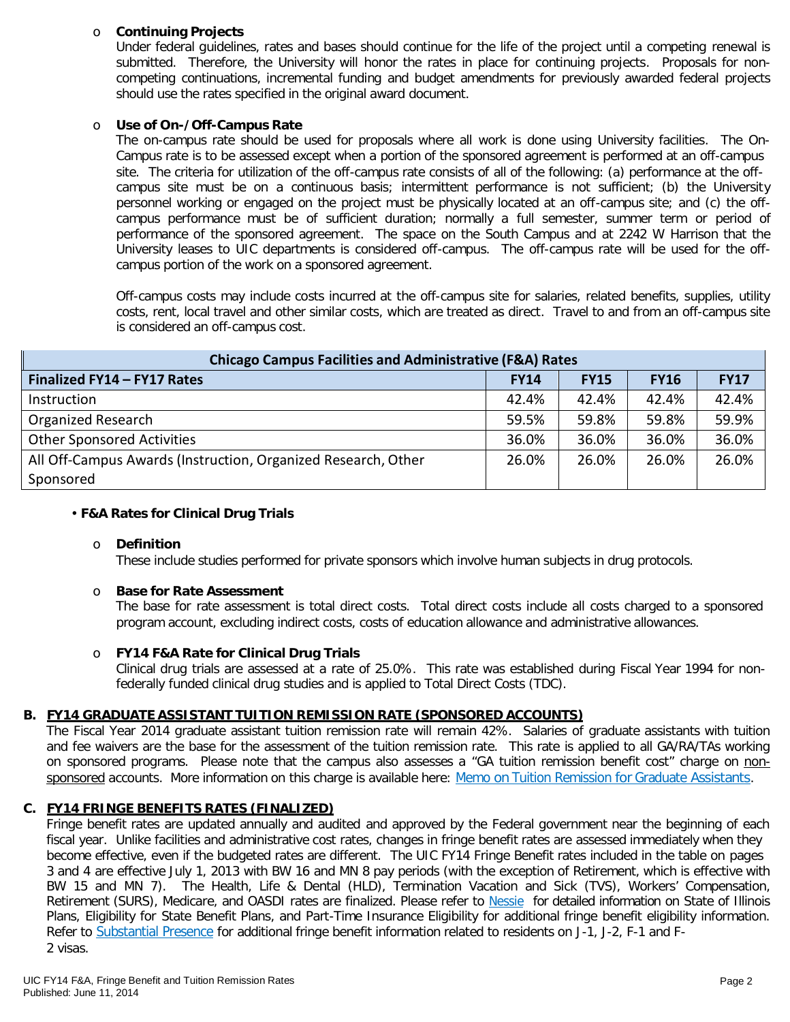# o **Continuing Projects**

Under federal guidelines, rates and bases should continue for the life of the project until a competing renewal is submitted. Therefore, the University will honor the rates in place for continuing projects. Proposals for noncompeting continuations, incremental funding and budget amendments for previously awarded federal projects should use the rates specified in the original award document.

#### o **Use of On-/Off-Campus Rate**

The on-campus rate should be used for proposals where all work is done using University facilities. The On-Campus rate is to be assessed except when a portion of the sponsored agreement is performed at an off-campus site. The criteria for utilization of the off-campus rate consists of all of the following: (a) performance at the offcampus site must be on a continuous basis; intermittent performance is not sufficient; (b) the University personnel working or engaged on the project must be physically located at an off-campus site; and (c) the offcampus performance must be of sufficient duration; normally a full semester, summer term or period of performance of the sponsored agreement. The space on the South Campus and at 2242 W Harrison that the University leases to UIC departments is considered off-campus. The off-campus rate will be used for the offcampus portion of the work on a sponsored agreement.

Off-campus costs may include costs incurred at the off-campus site for salaries, related benefits, supplies, utility costs, rent, local travel and other similar costs, which are treated as direct. Travel to and from an off-campus site is considered an off-campus cost.

| <b>Chicago Campus Facilities and Administrative (F&amp;A) Rates</b> |             |             |             |             |  |  |
|---------------------------------------------------------------------|-------------|-------------|-------------|-------------|--|--|
| Finalized FY14 - FY17 Rates                                         | <b>FY14</b> | <b>FY15</b> | <b>FY16</b> | <b>FY17</b> |  |  |
| Instruction                                                         | 42.4%       | 42.4%       | 42.4%       | 42.4%       |  |  |
| <b>Organized Research</b>                                           | 59.5%       | 59.8%       | 59.8%       | 59.9%       |  |  |
| <b>Other Sponsored Activities</b>                                   | 36.0%       | 36.0%       | 36.0%       | 36.0%       |  |  |
| All Off-Campus Awards (Instruction, Organized Research, Other       | 26.0%       | 26.0%       | 26.0%       | 26.0%       |  |  |
| Sponsored                                                           |             |             |             |             |  |  |

#### • **F&A Rates for Clinical Drug Trials**

#### o **Definition**

These include studies performed for private sponsors which involve human subjects in drug protocols.

#### o **Base for Rate Assessment**

The base for rate assessment is total direct costs. Total direct costs include all costs charged to a sponsored program account, excluding indirect costs, costs of education allowance and administrative allowances.

## o **FY14 F&A Rate for Clinical Drug Trials**

Clinical drug trials are assessed at a rate of 25.0%. This rate was established during Fiscal Year 1994 for nonfederally funded clinical drug studies and is applied to Total Direct Costs (TDC).

# **B. FY14 GRADUATE ASSISTANT TUITION REMISSION RATE (SPONSORED ACCOUNTS)**

The Fiscal Year 2014 graduate assistant tuition remission rate will remain 42%. Salaries of graduate assistants with tuition and fee waivers are the base for the assessment of the tuition remission rate. This rate is applied to all GA/RA/TAs working on sponsored programs. Please note that the campus also assesses a "GA tuition remission benefit cost" charge on nonsponsored accounts. More information on this charge is available here: Memo on Tuition Remission for Graduate [Assistants.](https://www.obfs.uillinois.edu/common/pages/DisplayFile.aspx?itemId=436386)

## **C. FY14 FRINGE BENEFITS RATES (FINALIZED)**

Fringe benefit rates are updated annually and audited and approved by the Federal government near the beginning of each fiscal year. Unlike facilities and administrative cost rates, changes in fringe benefit rates are assessed immediately when they become effective, even if the budgeted rates are different. The UIC FY14 Fringe Benefit rates included in the table on pages 3 and 4 are effective July 1, 2013 with BW 16 and MN 8 pay periods (with the exception of Retirement, which is effective with BW 15 and MN 7). The Health, Life & Dental (HLD), Termination Vacation and Sick (TVS), Workers' Compensation, Retirement (SURS), Medicare, and OASDI rates are finalized. Please refer to [Nessie](http://nessie.uihr.uillinois.edu/cf/benefits/) for detailed information on State of Illinois Plans, Eligibility for State Benefit Plans, and Part-Time Insurance Eligibility for additional fringe benefit eligibility information. Refer to [Substantial](http://www.uic.edu/com/gme/rpm_comp___benefits.htm#real_substantial_pres) Presence for additional fringe benefit information related to residents on J-1, J-2, F-1 and F-2 visas.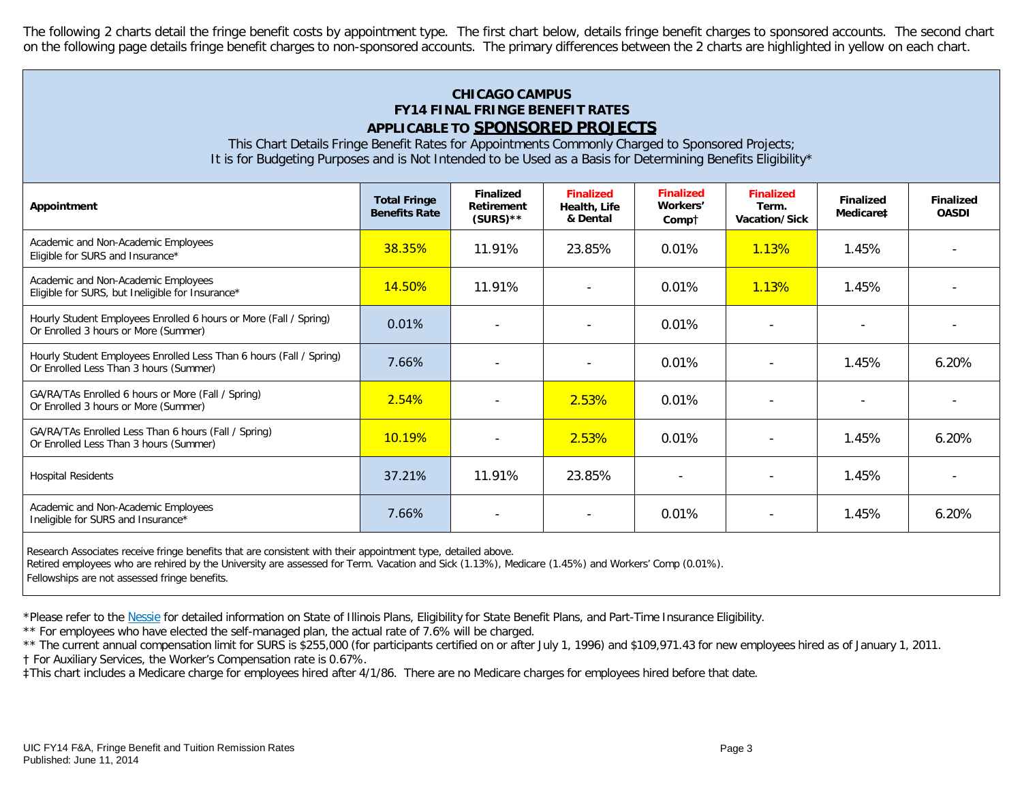The following 2 charts detail the fringe benefit costs by appointment type. The first chart below, details fringe benefit charges to sponsored accounts. The second chart on the following page details fringe benefit charges to non-sponsored accounts. The primary differences between the 2 charts are highlighted in yellow on each chart.

# **CHICAGO CAMPUS FY14 FINAL FRINGE BENEFIT RATES APPLICABLE TO SPONSORED PROJECTS**

This Chart Details Fringe Benefit Rates for Appointments Commonly Charged to Sponsored Projects; It is for Budgeting Purposes and is Not Intended to be Used as a Basis for Determining Benefits Eligibility\*

| Appointment                                                                                                   | <b>Total Fringe</b><br><b>Benefits Rate</b> | <b>Finalized</b><br>Retirement<br>$(SURS)$ ** | <b>Finalized</b><br>Health, Life<br>& Dental | <b>Finalized</b><br>Workers'<br>Compt | <b>Finalized</b><br>Term.<br>Vacation/Sick | <b>Finalized</b><br>Medicare‡ | <b>Finalized</b><br><b>OASDI</b> |
|---------------------------------------------------------------------------------------------------------------|---------------------------------------------|-----------------------------------------------|----------------------------------------------|---------------------------------------|--------------------------------------------|-------------------------------|----------------------------------|
| Academic and Non-Academic Employees<br>Eligible for SURS and Insurance*                                       | 38.35%                                      | 11.91%                                        | 23.85%                                       | 0.01%                                 | 1.13%                                      | 1.45%                         |                                  |
| Academic and Non-Academic Employees<br>Eligible for SURS, but Ineligible for Insurance*                       | 14.50%                                      | 11.91%                                        |                                              | 0.01%                                 | 1.13%                                      | 1.45%                         |                                  |
| Hourly Student Employees Enrolled 6 hours or More (Fall / Spring)<br>Or Enrolled 3 hours or More (Summer)     | 0.01%                                       |                                               |                                              | 0.01%                                 |                                            |                               |                                  |
| Hourly Student Employees Enrolled Less Than 6 hours (Fall / Spring)<br>Or Enrolled Less Than 3 hours (Summer) | 7.66%                                       |                                               |                                              | 0.01%                                 | $\overline{\phantom{a}}$                   | 1.45%                         | 6.20%                            |
| GA/RA/TAs Enrolled 6 hours or More (Fall / Spring)<br>Or Enrolled 3 hours or More (Summer)                    | 2.54%                                       | $\overline{\phantom{a}}$                      | 2.53%                                        | 0.01%                                 | $\overline{\phantom{a}}$                   | $\overline{\phantom{a}}$      |                                  |
| GA/RA/TAs Enrolled Less Than 6 hours (Fall / Spring)<br>Or Enrolled Less Than 3 hours (Summer)                | 10.19%                                      | $\overline{\phantom{0}}$                      | 2.53%                                        | 0.01%                                 | $\overline{\phantom{a}}$                   | 1.45%                         | 6.20%                            |
| <b>Hospital Residents</b>                                                                                     | 37.21%                                      | 11.91%                                        | 23.85%                                       | $\overline{\phantom{a}}$              | $\qquad \qquad \blacksquare$               | 1.45%                         |                                  |
| Academic and Non-Academic Employees<br>Ineligible for SURS and Insurance*                                     | 7.66%                                       |                                               | $\overline{\phantom{0}}$                     | 0.01%                                 | $\qquad \qquad \blacksquare$               | 1.45%                         | 6.20%                            |
|                                                                                                               |                                             |                                               |                                              |                                       |                                            |                               |                                  |

Research Associates receive fringe benefits that are consistent with their appointment type, detailed above.

Retired employees who are rehired by the University are assessed for Term. Vacation and Sick (1.13%), Medicare (1.45%) and Workers' Comp (0.01%).

Fellowships are not assessed fringe benefits.

\*Please refer to th[e Nessie](http://nessie.uihr.uillinois.edu/cf/benefits/) for detailed information on State of Illinois Plans, Eligibility for State Benefit Plans, and Part-Time Insurance Eligibility.

\*\* For employees who have elected the self-managed plan, the actual rate of 7.6% will be charged.

\*\* The current annual compensation limit for SURS is \$255,000 (for participants certified on or after July 1, 1996) and \$109,971.43 for new employees hired as of January 1, 2011.

† For Auxiliary Services, the Worker's Compensation rate is 0.67%.

‡This chart includes a Medicare charge for employees hired after 4/1/86. There are no Medicare charges for employees hired before that date.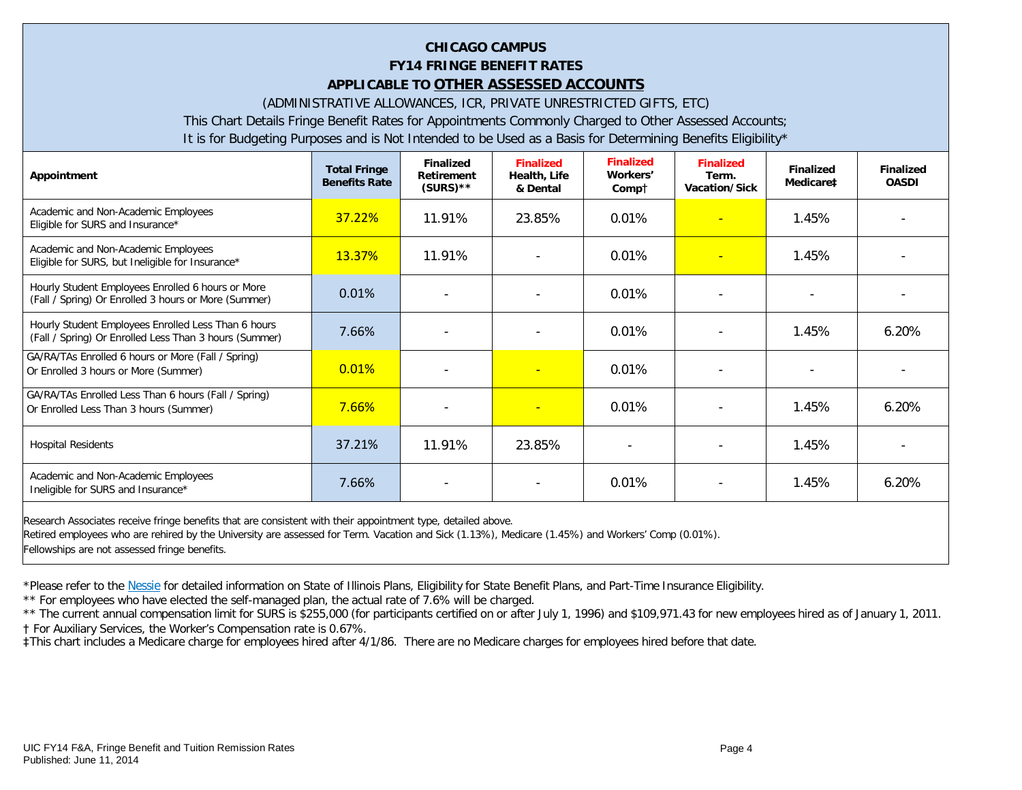# **CHICAGO CAMPUS FY14 FRINGE BENEFIT RATES APPLICABLE TO OTHER ASSESSED ACCOUNTS**

(ADMINISTRATIVE ALLOWANCES, ICR, PRIVATE UNRESTRICTED GIFTS, ETC)

This Chart Details Fringe Benefit Rates for Appointments Commonly Charged to Other Assessed Accounts;

It is for Budgeting Purposes and is Not Intended to be Used as a Basis for Determining Benefits Eligibility\*

| Appointment                                                                                                   | <b>Total Fringe</b><br><b>Benefits Rate</b> | <b>Finalized</b><br><b>Retirement</b><br>$(SURS)$ ** | <b>Finalized</b><br>Health, Life<br>& Dental | <b>Finalized</b><br>Workers'<br>Compt | <b>Finalized</b><br>Term.<br>Vacation/Sick | <b>Finalized</b><br>Medicare‡ | <b>Finalized</b><br><b>OASDI</b> |
|---------------------------------------------------------------------------------------------------------------|---------------------------------------------|------------------------------------------------------|----------------------------------------------|---------------------------------------|--------------------------------------------|-------------------------------|----------------------------------|
| Academic and Non-Academic Employees<br>Eligible for SURS and Insurance*                                       | 37.22%                                      | 11.91%                                               | 23.85%                                       | 0.01%                                 | $\equiv$                                   | 1.45%                         |                                  |
| Academic and Non-Academic Employees<br>Eligible for SURS, but Ineligible for Insurance*                       | 13.37%                                      | 11.91%                                               |                                              | 0.01%                                 |                                            | 1.45%                         |                                  |
| Hourly Student Employees Enrolled 6 hours or More<br>(Fall / Spring) Or Enrolled 3 hours or More (Summer)     | 0.01%                                       |                                                      |                                              | 0.01%                                 |                                            |                               |                                  |
| Hourly Student Employees Enrolled Less Than 6 hours<br>(Fall / Spring) Or Enrolled Less Than 3 hours (Summer) | 7.66%                                       |                                                      |                                              | 0.01%                                 |                                            | 1.45%                         | 6.20%                            |
| GA/RA/TAs Enrolled 6 hours or More (Fall / Spring)<br>Or Enrolled 3 hours or More (Summer)                    | 0.01%                                       |                                                      |                                              | 0.01%                                 |                                            |                               |                                  |
| GA/RA/TAs Enrolled Less Than 6 hours (Fall / Spring)<br>Or Enrolled Less Than 3 hours (Summer)                | 7.66%                                       | $\overline{\phantom{a}}$                             | $\blacksquare$                               | 0.01%                                 | $\overline{\phantom{a}}$                   | 1.45%                         | $6.20\%$                         |
| <b>Hospital Residents</b>                                                                                     | 37.21%                                      | 11.91%                                               | 23.85%                                       |                                       | $\overline{\phantom{a}}$                   | 1.45%                         |                                  |
| Academic and Non-Academic Employees<br>Ineligible for SURS and Insurance*                                     | 7.66%                                       |                                                      |                                              | 0.01%                                 |                                            | 1.45%                         | 6.20%                            |
| Research Associates receive fringe benefits that are consistent with their annointment type detailed above    |                                             |                                                      |                                              |                                       |                                            |                               |                                  |

at are consistent with their appointment type, detailed above. Retired employees who are rehired by the University are assessed for Term. Vacation and Sick (1.13%), Medicare (1.45%) and Workers' Comp (0.01%). Fellowships are not assessed fringe benefits.

\*Please refer to th[e Nessie](http://nessie.uihr.uillinois.edu/cf/benefits/) for detailed information on State of Illinois Plans, Eligibility for State Benefit Plans, and Part-Time Insurance Eligibility.

\*\* For employees who have elected the self-managed plan, the actual rate of 7.6% will be charged.

\*\* The current annual compensation limit for SURS is \$255,000 (for participants certified on or after July 1, 1996) and \$109,971.43 for new employees hired as of January 1, 2011. † For Auxiliary Services, the Worker's Compensation rate is 0.67%.

‡This chart includes a Medicare charge for employees hired after 4/1/86. There are no Medicare charges for employees hired before that date.